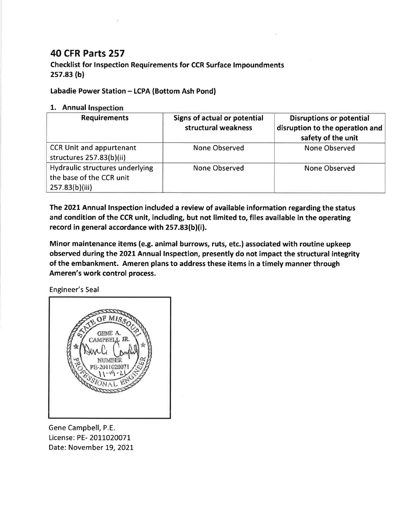## **40 CFR Parts 257**

**Checklist for Inspection Requirements for CCR Surface Impoundments**  $257.83(b)$ 

## Labadie Power Station - LCPA (Bottom Ash Pond)

## 1. Annual Inspection

| <b>Requirements</b>                                                           | Signs of actual or potential<br>structural weakness | <b>Disruptions or potential</b><br>disruption to the operation and<br>safety of the unit |
|-------------------------------------------------------------------------------|-----------------------------------------------------|------------------------------------------------------------------------------------------|
| <b>CCR Unit and appurtenant</b><br>structures 257.83(b)(ii)                   | None Observed                                       | None Observed                                                                            |
| Hydraulic structures underlying<br>the base of the CCR unit<br>257.83(b)(iii) | None Observed                                       | None Observed                                                                            |

The 2021 Annual Inspection included a review of available information regarding the status and condition of the CCR unit, including, but not limited to, files available in the operating record in general accordance with 257.83(b)(i).

Minor maintenance items (e.g. animal burrows, ruts, etc.) associated with routine upkeep observed during the 2021 Annual Inspection, presently do not impact the structural integrity of the embankment. Ameren plans to address these items in a timely manner through Ameren's work control process.

Engineer's Seal



Gene Campbell, P.E. License: PE- 2011020071 Date: November 19, 2021